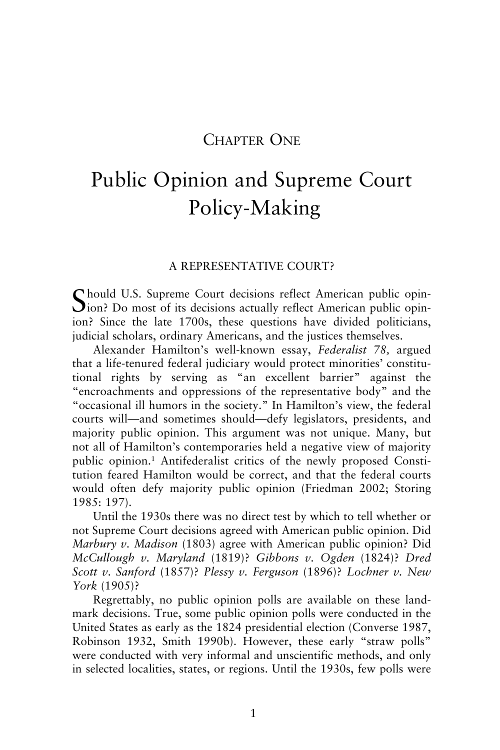# CHAPTER ONE

# Public Opinion and Supreme Court Policy-Making

#### A REPRESENTATIVE COURT?

Chould U.S. Supreme Court decisions reflect American public opin-**J**ion? Do most of its decisions actually reflect American public opinion? Since the late 1700s, these questions have divided politicians, judicial scholars, ordinary Americans, and the justices themselves.

Alexander Hamilton's well-known essay, *Federalist 78,* argued that a life-tenured federal judiciary would protect minorities' constitutional rights by serving as "an excellent barrier" against the "encroachments and oppressions of the representative body" and the "occasional ill humors in the society." In Hamilton's view, the federal courts will—and sometimes should—defy legislators, presidents, and majority public opinion. This argument was not unique. Many, but not all of Hamilton's contemporaries held a negative view of majority public opinion.1 Antifederalist critics of the newly proposed Constitution feared Hamilton would be correct, and that the federal courts would often defy majority public opinion (Friedman 2002; Storing 1985: 197).

Until the 1930s there was no direct test by which to tell whether or not Supreme Court decisions agreed with American public opinion. Did *Marbury v. Madison* (1803) agree with American public opinion? Did *McCullough v. Maryland* (1819)? *Gibbons v. Ogden* (1824)? *Dred Scott v. Sanford* (1857)? *Plessy v. Ferguson* (1896)? *Lochner v. New York* (1905)?

Regrettably, no public opinion polls are available on these landmark decisions. True, some public opinion polls were conducted in the United States as early as the 1824 presidential election (Converse 1987, Robinson 1932, Smith 1990b). However, these early "straw polls" were conducted with very informal and unscientific methods, and only in selected localities, states, or regions. Until the 1930s, few polls were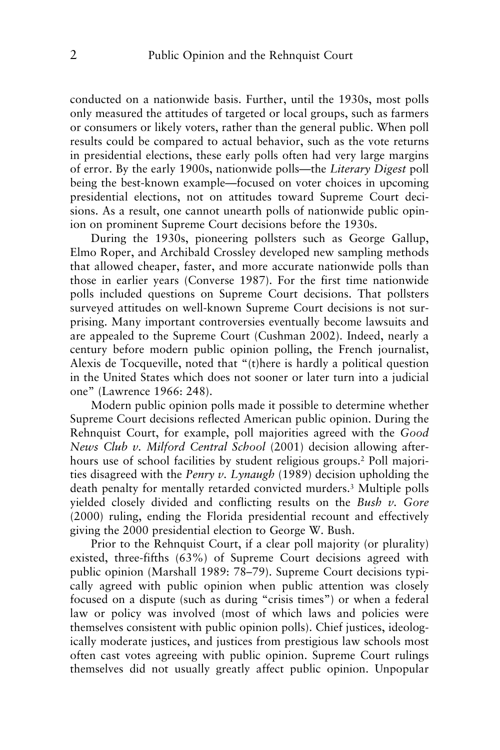conducted on a nationwide basis. Further, until the 1930s, most polls only measured the attitudes of targeted or local groups, such as farmers or consumers or likely voters, rather than the general public. When poll results could be compared to actual behavior, such as the vote returns in presidential elections, these early polls often had very large margins of error. By the early 1900s, nationwide polls—the *Literary Digest* poll being the best-known example—focused on voter choices in upcoming presidential elections, not on attitudes toward Supreme Court decisions. As a result, one cannot unearth polls of nationwide public opinion on prominent Supreme Court decisions before the 1930s.

During the 1930s, pioneering pollsters such as George Gallup, Elmo Roper, and Archibald Crossley developed new sampling methods that allowed cheaper, faster, and more accurate nationwide polls than those in earlier years (Converse 1987). For the first time nationwide polls included questions on Supreme Court decisions. That pollsters surveyed attitudes on well-known Supreme Court decisions is not surprising. Many important controversies eventually become lawsuits and are appealed to the Supreme Court (Cushman 2002). Indeed, nearly a century before modern public opinion polling, the French journalist, Alexis de Tocqueville, noted that "(t)here is hardly a political question in the United States which does not sooner or later turn into a judicial one" (Lawrence 1966: 248).

Modern public opinion polls made it possible to determine whether Supreme Court decisions reflected American public opinion. During the Rehnquist Court, for example, poll majorities agreed with the *Good News Club v. Milford Central School* (2001) decision allowing afterhours use of school facilities by student religious groups.2 Poll majorities disagreed with the *Penry v. Lynaugh* (1989) decision upholding the death penalty for mentally retarded convicted murders.3 Multiple polls yielded closely divided and conflicting results on the *Bush v. Gore* (2000) ruling, ending the Florida presidential recount and effectively giving the 2000 presidential election to George W. Bush.

Prior to the Rehnquist Court, if a clear poll majority (or plurality) existed, three-fifths (63%) of Supreme Court decisions agreed with public opinion (Marshall 1989: 78–79). Supreme Court decisions typically agreed with public opinion when public attention was closely focused on a dispute (such as during "crisis times") or when a federal law or policy was involved (most of which laws and policies were themselves consistent with public opinion polls). Chief justices, ideologically moderate justices, and justices from prestigious law schools most often cast votes agreeing with public opinion. Supreme Court rulings themselves did not usually greatly affect public opinion. Unpopular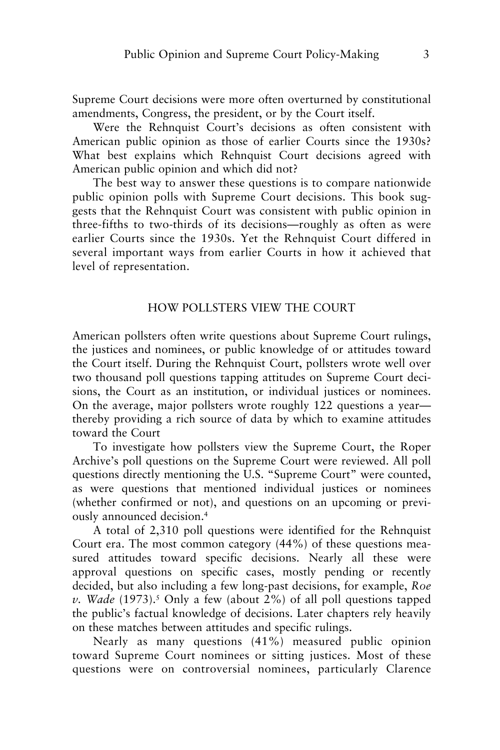Supreme Court decisions were more often overturned by constitutional amendments, Congress, the president, or by the Court itself.

Were the Rehnquist Court's decisions as often consistent with American public opinion as those of earlier Courts since the 1930s? What best explains which Rehnquist Court decisions agreed with American public opinion and which did not?

The best way to answer these questions is to compare nationwide public opinion polls with Supreme Court decisions. This book suggests that the Rehnquist Court was consistent with public opinion in three-fifths to two-thirds of its decisions—roughly as often as were earlier Courts since the 1930s. Yet the Rehnquist Court differed in several important ways from earlier Courts in how it achieved that level of representation.

#### HOW POLLSTERS VIEW THE COURT

American pollsters often write questions about Supreme Court rulings, the justices and nominees, or public knowledge of or attitudes toward the Court itself. During the Rehnquist Court, pollsters wrote well over two thousand poll questions tapping attitudes on Supreme Court decisions, the Court as an institution, or individual justices or nominees. On the average, major pollsters wrote roughly 122 questions a year thereby providing a rich source of data by which to examine attitudes toward the Court

To investigate how pollsters view the Supreme Court, the Roper Archive's poll questions on the Supreme Court were reviewed. All poll questions directly mentioning the U.S. "Supreme Court" were counted, as were questions that mentioned individual justices or nominees (whether confirmed or not), and questions on an upcoming or previously announced decision.4

A total of 2,310 poll questions were identified for the Rehnquist Court era. The most common category (44%) of these questions measured attitudes toward specific decisions. Nearly all these were approval questions on specific cases, mostly pending or recently decided, but also including a few long-past decisions, for example, *Roe*  $v.$  *Wade* (1973).<sup>5</sup> Only a few (about 2%) of all poll questions tapped the public's factual knowledge of decisions. Later chapters rely heavily on these matches between attitudes and specific rulings.

Nearly as many questions (41%) measured public opinion toward Supreme Court nominees or sitting justices. Most of these questions were on controversial nominees, particularly Clarence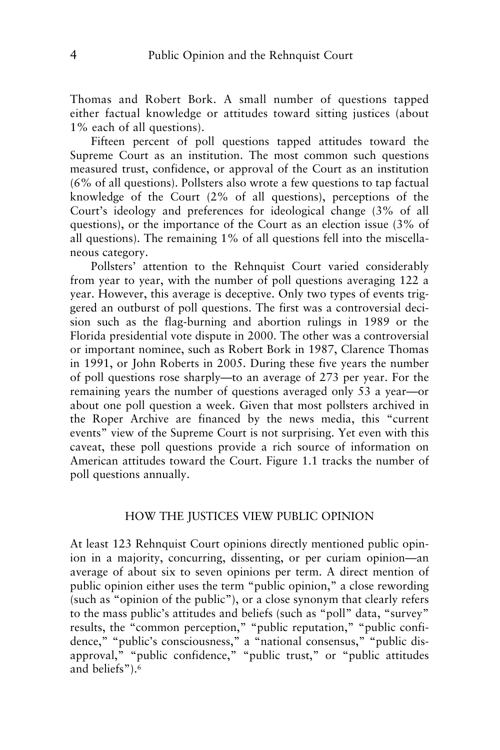Thomas and Robert Bork. A small number of questions tapped either factual knowledge or attitudes toward sitting justices (about 1% each of all questions).

Fifteen percent of poll questions tapped attitudes toward the Supreme Court as an institution. The most common such questions measured trust, confidence, or approval of the Court as an institution (6% of all questions). Pollsters also wrote a few questions to tap factual knowledge of the Court (2% of all questions), perceptions of the Court's ideology and preferences for ideological change (3% of all questions), or the importance of the Court as an election issue (3% of all questions). The remaining 1% of all questions fell into the miscellaneous category.

Pollsters' attention to the Rehnquist Court varied considerably from year to year, with the number of poll questions averaging 122 a year. However, this average is deceptive. Only two types of events triggered an outburst of poll questions. The first was a controversial decision such as the flag-burning and abortion rulings in 1989 or the Florida presidential vote dispute in 2000. The other was a controversial or important nominee, such as Robert Bork in 1987, Clarence Thomas in 1991, or John Roberts in 2005. During these five years the number of poll questions rose sharply—to an average of 273 per year. For the remaining years the number of questions averaged only 53 a year—or about one poll question a week. Given that most pollsters archived in the Roper Archive are financed by the news media, this "current events" view of the Supreme Court is not surprising. Yet even with this caveat, these poll questions provide a rich source of information on American attitudes toward the Court. Figure 1.1 tracks the number of poll questions annually.

## HOW THE JUSTICES VIEW PUBLIC OPINION

At least 123 Rehnquist Court opinions directly mentioned public opinion in a majority, concurring, dissenting, or per curiam opinion—an average of about six to seven opinions per term. A direct mention of public opinion either uses the term "public opinion," a close rewording (such as "opinion of the public"), or a close synonym that clearly refers to the mass public's attitudes and beliefs (such as "poll" data, "survey" results, the "common perception," "public reputation," "public confidence," "public's consciousness," a "national consensus," "public disapproval," "public confidence," "public trust," or "public attitudes and beliefs").6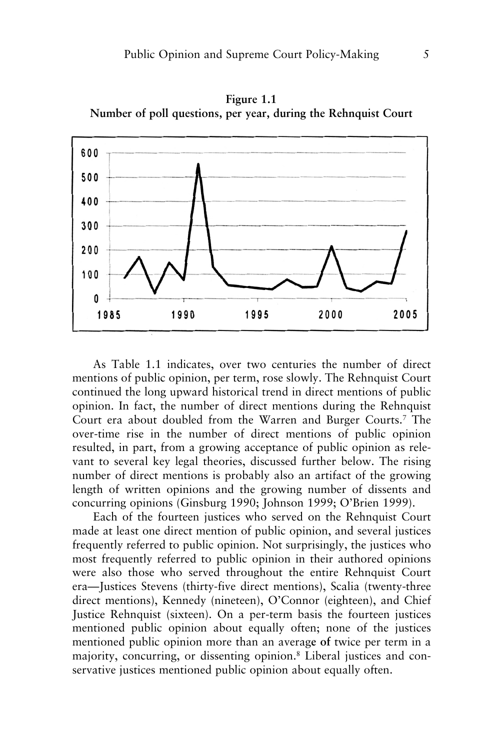

**Figure 1.1 Number of poll questions, per year, during the Rehnquist Court**

As Table 1.1 indicates, over two centuries the number of direct mentions of public opinion, per term, rose slowly. The Rehnquist Court continued the long upward historical trend in direct mentions of public opinion. In fact, the number of direct mentions during the Rehnquist Court era about doubled from the Warren and Burger Courts.7 The over-time rise in the number of direct mentions of public opinion resulted, in part, from a growing acceptance of public opinion as relevant to several key legal theories, discussed further below. The rising number of direct mentions is probably also an artifact of the growing length of written opinions and the growing number of dissents and concurring opinions (Ginsburg 1990; Johnson 1999; O'Brien 1999).

Each of the fourteen justices who served on the Rehnquist Court made at least one direct mention of public opinion, and several justices frequently referred to public opinion. Not surprisingly, the justices who most frequently referred to public opinion in their authored opinions were also those who served throughout the entire Rehnquist Court era—Justices Stevens (thirty-five direct mentions), Scalia (twenty-three direct mentions), Kennedy (nineteen), O'Connor (eighteen), and Chief Justice Rehnquist (sixteen). On a per-term basis the fourteen justices mentioned public opinion about equally often; none of the justices mentioned public opinion more than an averag**e of** twice per term in a majority, concurring, or dissenting opinion.8 Liberal justices and conservative justices mentioned public opinion about equally often.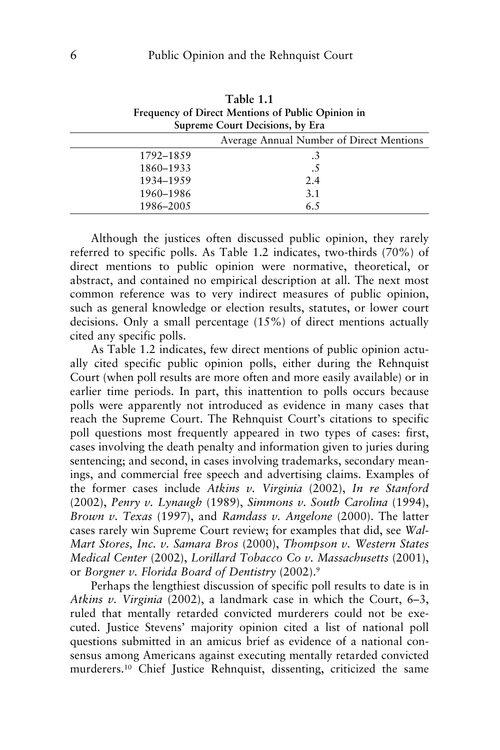|                                                   | Table 1.1                                |  |  |  |
|---------------------------------------------------|------------------------------------------|--|--|--|
| Frequency of Direct Mentions of Public Opinion in |                                          |  |  |  |
| Supreme Court Decisions, by Era                   |                                          |  |  |  |
|                                                   | Average Annual Number of Direct Mentions |  |  |  |
| 1792–1859                                         | .3                                       |  |  |  |
| 1860–1933                                         | .5                                       |  |  |  |
| 1934-1959                                         | 2.4                                      |  |  |  |
| 1960–1986                                         | 3.1                                      |  |  |  |
| 1986-2005                                         | 6.5                                      |  |  |  |

Although the justices often discussed public opinion, they rarely referred to specific polls. As Table 1.2 indicates, two-thirds (70%) of direct mentions to public opinion were normative, theoretical, or abstract, and contained no empirical description at all. The next most common reference was to very indirect measures of public opinion, such as general knowledge or election results, statutes, or lower court decisions. Only a small percentage (15%) of direct mentions actually cited any specific polls.

As Table 1.2 indicates, few direct mentions of public opinion actually cited specific public opinion polls, either during the Rehnquist Court (when poll results are more often and more easily available) or in earlier time periods. In part, this inattention to polls occurs because polls were apparently not introduced as evidence in many cases that reach the Supreme Court. The Rehnquist Court's citations to specific poll questions most frequently appeared in two types of cases: first, cases involving the death penalty and information given to juries during sentencing; and second, in cases involving trademarks, secondary meanings, and commercial free speech and advertising claims. Examples of the former cases include *Atkins v. Virginia* (2002), *In re Stanford* (2002), *Penry v. Lynaugh* (1989), *Simmons v. South Carolina* (1994), *Brown v. Texas* (1997), and *Ramdass v. Angelone* (2000). The latter cases rarely win Supreme Court review; for examples that did, see *Wal-Mart Stores, Inc. v. Samara Bros* (2000), *Thompson v. Western States Medical Center* (2002), *Lorillard Tobacco Co v. Massachusetts* (2001), or *Borgner v. Florida Board of Dentistry* (2002).9

Perhaps the lengthiest discussion of specific poll results to date is in *Atkins v. Virginia* (2002), a landmark case in which the Court, 6–3, ruled that mentally retarded convicted murderers could not be executed. Justice Stevens' majority opinion cited a list of national poll questions submitted in an amicus brief as evidence of a national consensus among Americans against executing mentally retarded convicted murderers.10 Chief Justice Rehnquist, dissenting, criticized the same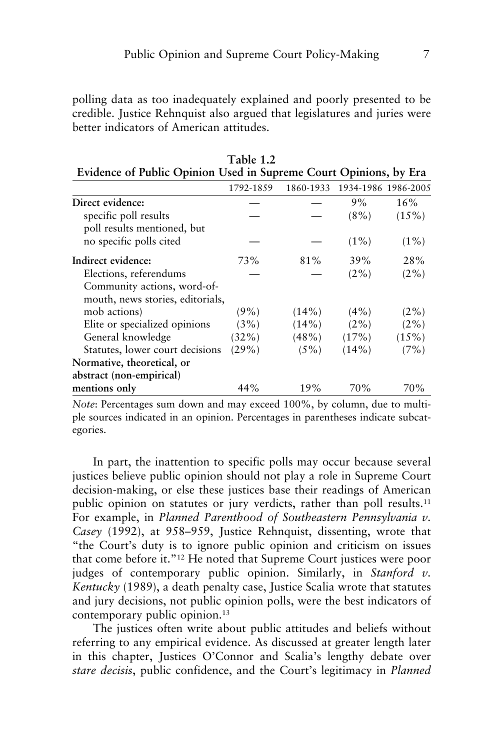polling data as too inadequately explained and poorly presented to be credible. Justice Rehnquist also argued that legislatures and juries were better indicators of American attitudes.

| Evidence of Fubile Optimon Osca in Supreme Court Optimons, by Era |           |           |          |                     |
|-------------------------------------------------------------------|-----------|-----------|----------|---------------------|
|                                                                   | 1792-1859 | 1860-1933 |          | 1934-1986 1986-2005 |
| Direct evidence:                                                  |           |           | 9%       | 16%                 |
| specific poll results                                             |           |           | $(8\%)$  | $(15\%)$            |
| poll results mentioned, but                                       |           |           |          |                     |
| no specific polls cited                                           |           |           | $(1\%)$  | $(1\%)$             |
| Indirect evidence:                                                | 73%       | 81%       | 39%      | 28%                 |
| Elections, referendums                                            |           |           | $(2\%)$  | $(2\%)$             |
| Community actions, word-of-                                       |           |           |          |                     |
| mouth, news stories, editorials,                                  |           |           |          |                     |
| mob actions)                                                      | $(9\%)$   | $(14\%)$  | $(4\%)$  | $(2\%)$             |
| Elite or specialized opinions                                     | (3%)      | $(14\%)$  | $(2\%)$  | $(2\%)$             |
| General knowledge                                                 | $(32\%)$  | $(48\%)$  | (17%)    | $(15\%)$            |
| Statutes, lower court decisions                                   | (29%)     | $(5\%)$   | $(14\%)$ | (7%)                |
| Normative, theoretical, or                                        |           |           |          |                     |
| abstract (non-empirical)                                          |           |           |          |                     |
| mentions only                                                     | 44%       | 19%       | 70%      | 70%                 |

**Table 1.2 Evidence of Public Opinion Used in Supreme Court Opinions, by Era**

*Note*: Percentages sum down and may exceed 100%, by column, due to multiple sources indicated in an opinion. Percentages in parentheses indicate subcategories.

In part, the inattention to specific polls may occur because several justices believe public opinion should not play a role in Supreme Court decision-making, or else these justices base their readings of American public opinion on statutes or jury verdicts, rather than poll results.<sup>11</sup> For example, in *Planned Parenthood of Southeastern Pennsylvania v. Casey* (1992), at 958–959, Justice Rehnquist, dissenting, wrote that "the Court's duty is to ignore public opinion and criticism on issues that come before it."12 He noted that Supreme Court justices were poor judges of contemporary public opinion. Similarly, in *Stanford v. Kentucky* (1989), a death penalty case, Justice Scalia wrote that statutes and jury decisions, not public opinion polls, were the best indicators of contemporary public opinion.<sup>13</sup>

The justices often write about public attitudes and beliefs without referring to any empirical evidence. As discussed at greater length later in this chapter, Justices O'Connor and Scalia's lengthy debate over *stare decisis*, public confidence, and the Court's legitimacy in *Planned*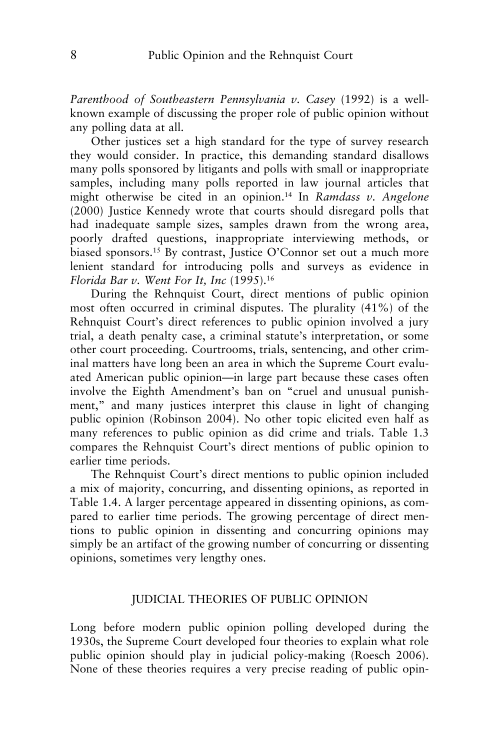*Parenthood of Southeastern Pennsylvania v. Casey* (1992) is a wellknown example of discussing the proper role of public opinion without any polling data at all.

Other justices set a high standard for the type of survey research they would consider. In practice, this demanding standard disallows many polls sponsored by litigants and polls with small or inappropriate samples, including many polls reported in law journal articles that might otherwise be cited in an opinion.14 In *Ramdass v. Angelone* (2000) Justice Kennedy wrote that courts should disregard polls that had inadequate sample sizes, samples drawn from the wrong area, poorly drafted questions, inappropriate interviewing methods, or biased sponsors.<sup>15</sup> By contrast, Justice O'Connor set out a much more lenient standard for introducing polls and surveys as evidence in *Florida Bar v. Went For It, Inc* (1995).16

During the Rehnquist Court, direct mentions of public opinion most often occurred in criminal disputes. The plurality (41%) of the Rehnquist Court's direct references to public opinion involved a jury trial, a death penalty case, a criminal statute's interpretation, or some other court proceeding. Courtrooms, trials, sentencing, and other criminal matters have long been an area in which the Supreme Court evaluated American public opinion—in large part because these cases often involve the Eighth Amendment's ban on "cruel and unusual punishment," and many justices interpret this clause in light of changing public opinion (Robinson 2004). No other topic elicited even half as many references to public opinion as did crime and trials. Table 1.3 compares the Rehnquist Court's direct mentions of public opinion to earlier time periods.

The Rehnquist Court's direct mentions to public opinion included a mix of majority, concurring, and dissenting opinions, as reported in Table 1.4. A larger percentage appeared in dissenting opinions, as compared to earlier time periods. The growing percentage of direct mentions to public opinion in dissenting and concurring opinions may simply be an artifact of the growing number of concurring or dissenting opinions, sometimes very lengthy ones.

#### JUDICIAL THEORIES OF PUBLIC OPINION

Long before modern public opinion polling developed during the 1930s, the Supreme Court developed four theories to explain what role public opinion should play in judicial policy-making (Roesch 2006). None of these theories requires a very precise reading of public opin-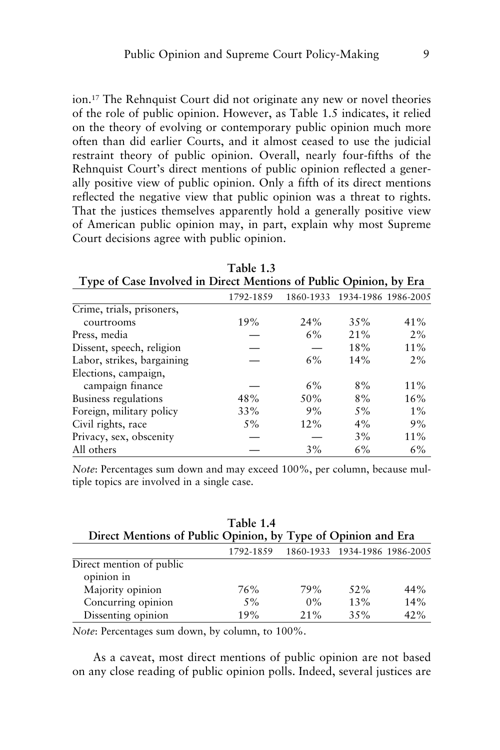ion.17 The Rehnquist Court did not originate any new or novel theories of the role of public opinion. However, as Table 1.5 indicates, it relied on the theory of evolving or contemporary public opinion much more often than did earlier Courts, and it almost ceased to use the judicial restraint theory of public opinion. Overall, nearly four-fifths of the Rehnquist Court's direct mentions of public opinion reflected a generally positive view of public opinion. Only a fifth of its direct mentions reflected the negative view that public opinion was a threat to rights. That the justices themselves apparently hold a generally positive view of American public opinion may, in part, explain why most Supreme Court decisions agree with public opinion.

| $1$ all $1$ .                                                      |           |     |                     |
|--------------------------------------------------------------------|-----------|-----|---------------------|
| Type of Case Involved in Direct Mentions of Public Opinion, by Era |           |     |                     |
| 1792-1859                                                          | 1860-1933 |     |                     |
|                                                                    |           |     |                     |
| 19%                                                                | 24%       | 35% | 41%                 |
|                                                                    | 6%        | 21% | $2\%$               |
|                                                                    |           | 18% | 11%                 |
|                                                                    | 6%        | 14% | $2\%$               |
|                                                                    |           |     |                     |
|                                                                    | 6%        | 8%  | $11\%$              |
| 48%                                                                | 50%       | 8%  | 16%                 |
| 33%                                                                | 9%        | 5%  | $1\%$               |
| $5\%$                                                              | 12%       | 4%  | 9%                  |
|                                                                    |           | 3%  | 11%                 |
|                                                                    | 3%        | 6%  | 6%                  |
|                                                                    |           |     | 1934-1986 1986-2005 |

**Table 1.3**

*Note*: Percentages sum down and may exceed 100%, per column, because multiple topics are involved in a single case.

|                                                               | Table 1.4 |         |                               |     |
|---------------------------------------------------------------|-----------|---------|-------------------------------|-----|
| Direct Mentions of Public Opinion, by Type of Opinion and Era |           |         |                               |     |
|                                                               | 1792-1859 |         | 1860-1933 1934-1986 1986-2005 |     |
| Direct mention of public                                      |           |         |                               |     |
| opinion in                                                    |           |         |                               |     |
| Majority opinion                                              | 76%       | 79%     | 52%                           | 44% |
| Concurring opinion                                            | 5%        | $0\%$   | 13%                           | 14% |
| Dissenting opinion                                            | 19%       | $2.1\%$ | 35%                           | 42% |

*Note*: Percentages sum down, by column, to 100%.

As a caveat, most direct mentions of public opinion are not based on any close reading of public opinion polls. Indeed, several justices are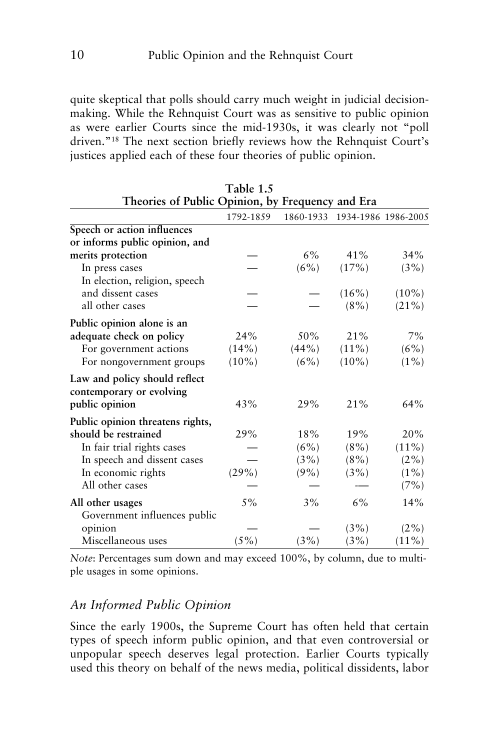quite skeptical that polls should carry much weight in judicial decisionmaking. While the Rehnquist Court was as sensitive to public opinion as were earlier Courts since the mid-1930s, it was clearly not "poll driven."18 The next section briefly reviews how the Rehnquist Court's justices applied each of these four theories of public opinion.

| Theories of Public Opinion, by Frequency and Era          |           |          |                               |          |
|-----------------------------------------------------------|-----------|----------|-------------------------------|----------|
|                                                           | 1792-1859 |          | 1860-1933 1934-1986 1986-2005 |          |
| Speech or action influences                               |           |          |                               |          |
| or informs public opinion, and                            |           |          |                               |          |
| merits protection                                         |           | $6\%$    | 41%                           | 34%      |
| In press cases                                            |           | $(6\%)$  | (17%)                         | (3%)     |
| In election, religion, speech                             |           |          |                               |          |
| and dissent cases                                         |           |          | $(16\%)$                      | $(10\%)$ |
| all other cases                                           |           |          | $(8\%)$                       | $(21\%)$ |
| Public opinion alone is an                                |           |          |                               |          |
| adequate check on policy                                  | 24%       | 50%      | 21%                           | 7%       |
| For government actions                                    | (14%)     | $(44\%)$ | $(11\%)$                      | (6%)     |
| For nongovernment groups                                  | $(10\%)$  | $(6\%)$  | $(10\%)$                      | $(1\%)$  |
| Law and policy should reflect<br>contemporary or evolving |           |          |                               |          |
| public opinion                                            | 43%       | 29%      | 21%                           | 64%      |
| Public opinion threatens rights,                          |           |          |                               |          |
| should be restrained                                      | 29%       | 18%      | 19%                           | 20%      |
| In fair trial rights cases                                |           | (6%)     | $(8\%)$                       | $(11\%)$ |
| In speech and dissent cases                               |           | $(3\%)$  | $(8\%)$                       | $(2\%)$  |
| In economic rights                                        | (29%)     | $(9\%)$  | $(3\%)$                       | $(1\%)$  |
| All other cases                                           |           |          |                               | (7%)     |
| All other usages                                          | $5\%$     | $3\%$    | 6%                            | 14%      |
| Government influences public                              |           |          |                               |          |
| opinion                                                   |           |          | $(3\%)$                       | $(2\%)$  |
| Miscellaneous uses                                        | $(5\%)$   | $(3\%)$  | $(3\%)$                       | $(11\%)$ |

| Table 1.5                                                                                                                    |  |
|------------------------------------------------------------------------------------------------------------------------------|--|
| $\mathbf{A}$ . The solution of $\mathbf{B}$ and $\mathbf{B}$ is the solution of $\mathbf{B}$ is the solution of $\mathbf{B}$ |  |

*Note*: Percentages sum down and may exceed 100%, by column, due to multiple usages in some opinions.

# *An Informed Public Opinion*

Since the early 1900s, the Supreme Court has often held that certain types of speech inform public opinion, and that even controversial or unpopular speech deserves legal protection. Earlier Courts typically used this theory on behalf of the news media, political dissidents, labor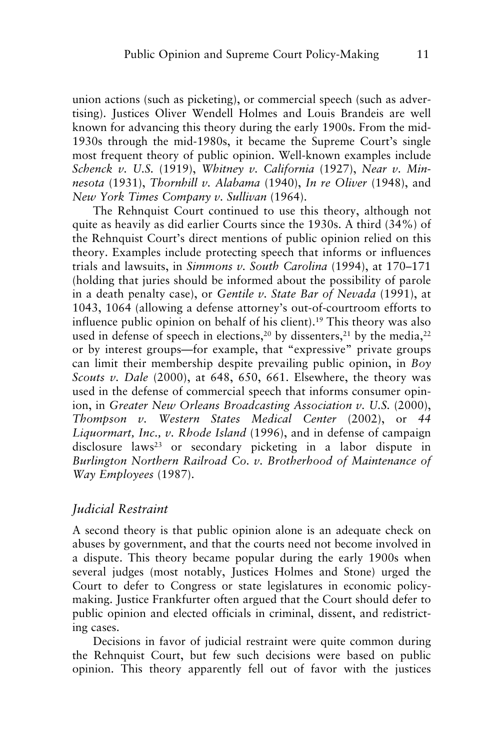union actions (such as picketing), or commercial speech (such as advertising). Justices Oliver Wendell Holmes and Louis Brandeis are well known for advancing this theory during the early 1900s. From the mid-1930s through the mid-1980s, it became the Supreme Court's single most frequent theory of public opinion. Well-known examples include *Schenck v. U.S.* (1919), *Whitney v. California* (1927), *Near v. Minnesota* (1931), *Thornhill v. Alabama* (1940), *In re Oliver* (1948), and *New York Times Company v. Sullivan* (1964).

The Rehnquist Court continued to use this theory, although not quite as heavily as did earlier Courts since the 1930s. A third (34%) of the Rehnquist Court's direct mentions of public opinion relied on this theory. Examples include protecting speech that informs or influences trials and lawsuits, in *Simmons v. South Carolina* (1994), at 170–171 (holding that juries should be informed about the possibility of parole in a death penalty case), or *Gentile v. State Bar of Nevada* (1991), at 1043, 1064 (allowing a defense attorney's out-of-courtroom efforts to influence public opinion on behalf of his client).19 This theory was also used in defense of speech in elections,<sup>20</sup> by dissenters,<sup>21</sup> by the media,<sup>22</sup> or by interest groups—for example, that "expressive" private groups can limit their membership despite prevailing public opinion, in *Boy Scouts v. Dale* (2000), at 648, 650, 661. Elsewhere, the theory was used in the defense of commercial speech that informs consumer opinion, in *Greater New Orleans Broadcasting Association v. U.S.* (2000), *Thompson v. Western States Medical Center* (2002), or *44 Liquormart, Inc., v. Rhode Island* (1996), and in defense of campaign disclosure laws<sup>23</sup> or secondary picketing in a labor dispute in *Burlington Northern Railroad Co. v. Brotherhood of Maintenance of Way Employees* (1987).

# *Judicial Restraint*

A second theory is that public opinion alone is an adequate check on abuses by government, and that the courts need not become involved in a dispute. This theory became popular during the early 1900s when several judges (most notably, Justices Holmes and Stone) urged the Court to defer to Congress or state legislatures in economic policymaking. Justice Frankfurter often argued that the Court should defer to public opinion and elected officials in criminal, dissent, and redistricting cases.

Decisions in favor of judicial restraint were quite common during the Rehnquist Court, but few such decisions were based on public opinion. This theory apparently fell out of favor with the justices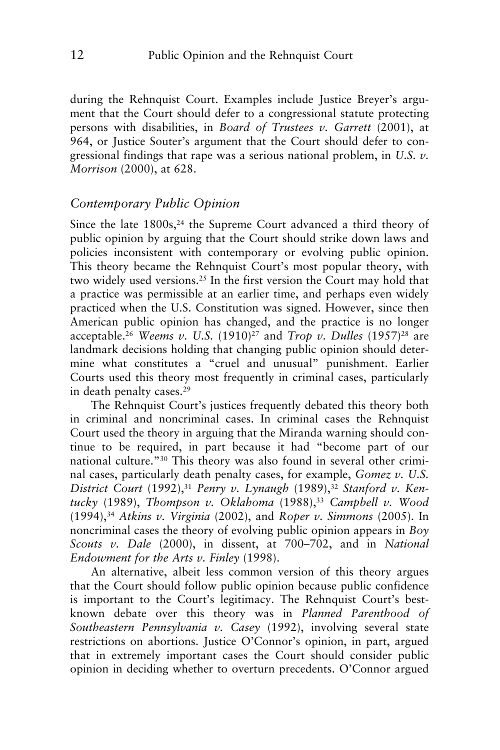during the Rehnquist Court. Examples include Justice Breyer's argument that the Court should defer to a congressional statute protecting persons with disabilities, in *Board of Trustees v. Garrett* (2001), at 964, or Justice Souter's argument that the Court should defer to congressional findings that rape was a serious national problem, in *U.S. v. Morrison* (2000), at 628.

# *Contemporary Public Opinion*

Since the late 1800s,<sup>24</sup> the Supreme Court advanced a third theory of public opinion by arguing that the Court should strike down laws and policies inconsistent with contemporary or evolving public opinion. This theory became the Rehnquist Court's most popular theory, with two widely used versions.25 In the first version the Court may hold that a practice was permissible at an earlier time, and perhaps even widely practiced when the U.S. Constitution was signed. However, since then American public opinion has changed, and the practice is no longer acceptable.<sup>26</sup> *Weems v. U.S.* (1910)<sup>27</sup> and *Trop v. Dulles* (1957)<sup>28</sup> are landmark decisions holding that changing public opinion should determine what constitutes a "cruel and unusual" punishment. Earlier Courts used this theory most frequently in criminal cases, particularly in death penalty cases.29

The Rehnquist Court's justices frequently debated this theory both in criminal and noncriminal cases. In criminal cases the Rehnquist Court used the theory in arguing that the Miranda warning should continue to be required, in part because it had "become part of our national culture."30 This theory was also found in several other criminal cases, particularly death penalty cases, for example, *Gomez v. U.S.* District Court (1992),<sup>31</sup> Penry v. Lynaugh (1989),<sup>32</sup> Stanford v. Ken*tucky* (1989), *Thompson v. Oklahoma* (1988),33 *Campbell v. Wood* (1994),34 *Atkins v. Virginia* (2002), and *Roper v. Simmons* (2005). In noncriminal cases the theory of evolving public opinion appears in *Boy Scouts v. Dale* (2000), in dissent, at 700–702, and in *National Endowment for the Arts v. Finley* (1998).

An alternative, albeit less common version of this theory argues that the Court should follow public opinion because public confidence is important to the Court's legitimacy. The Rehnquist Court's bestknown debate over this theory was in *Planned Parenthood of Southeastern Pennsylvania v. Casey* (1992), involving several state restrictions on abortions. Justice O'Connor's opinion, in part, argued that in extremely important cases the Court should consider public opinion in deciding whether to overturn precedents. O'Connor argued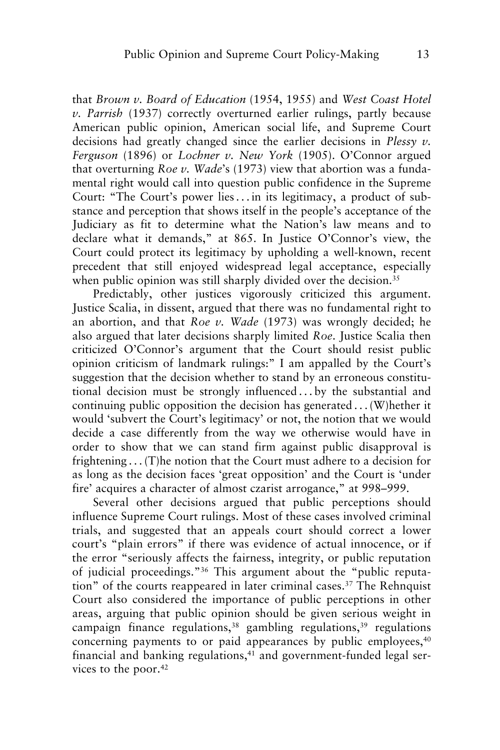that *Brown v. Board of Education* (1954, 1955) and *West Coast Hotel v. Parrish* (1937) correctly overturned earlier rulings, partly because American public opinion, American social life, and Supreme Court decisions had greatly changed since the earlier decisions in *Plessy v. Ferguson* (1896) or *Lochner v. New York* (1905). O'Connor argued that overturning *Roe v. Wade*'s (1973) view that abortion was a fundamental right would call into question public confidence in the Supreme Court: "The Court's power lies ... in its legitimacy, a product of substance and perception that shows itself in the people's acceptance of the Judiciary as fit to determine what the Nation's law means and to declare what it demands," at 865. In Justice O'Connor's view, the Court could protect its legitimacy by upholding a well-known, recent precedent that still enjoyed widespread legal acceptance, especially when public opinion was still sharply divided over the decision.<sup>35</sup>

Predictably, other justices vigorously criticized this argument. Justice Scalia, in dissent, argued that there was no fundamental right to an abortion, and that *Roe v. Wade* (1973) was wrongly decided; he also argued that later decisions sharply limited *Roe*. Justice Scalia then criticized O'Connor's argument that the Court should resist public opinion criticism of landmark rulings:" I am appalled by the Court's suggestion that the decision whether to stand by an erroneous constitutional decision must be strongly influenced . . . by the substantial and continuing public opposition the decision has generated...(W)hether it would 'subvert the Court's legitimacy' or not, the notion that we would decide a case differently from the way we otherwise would have in order to show that we can stand firm against public disapproval is frightening . . . (T)he notion that the Court must adhere to a decision for as long as the decision faces 'great opposition' and the Court is 'under fire' acquires a character of almost czarist arrogance," at 998–999.

Several other decisions argued that public perceptions should influence Supreme Court rulings. Most of these cases involved criminal trials, and suggested that an appeals court should correct a lower court's "plain errors" if there was evidence of actual innocence, or if the error "seriously affects the fairness, integrity, or public reputation of judicial proceedings."36 This argument about the "public reputation" of the courts reappeared in later criminal cases.37 The Rehnquist Court also considered the importance of public perceptions in other areas, arguing that public opinion should be given serious weight in campaign finance regulations,<sup>38</sup> gambling regulations,<sup>39</sup> regulations concerning payments to or paid appearances by public employees,<sup>40</sup> financial and banking regulations,<sup>41</sup> and government-funded legal services to the poor.42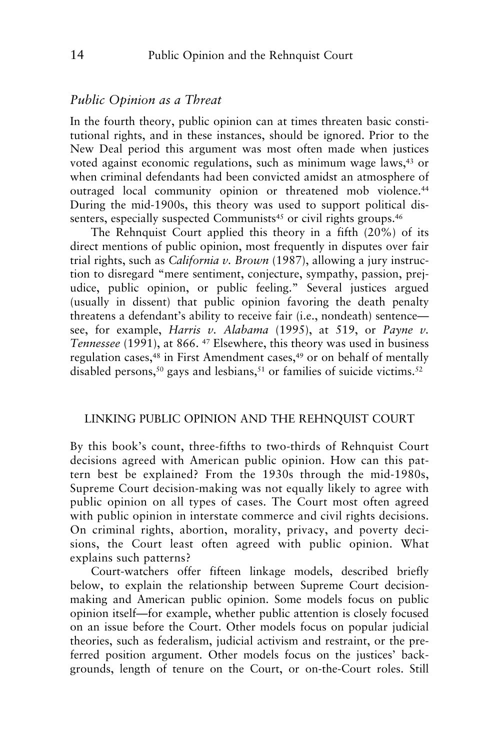#### *Public Opinion as a Threat*

In the fourth theory, public opinion can at times threaten basic constitutional rights, and in these instances, should be ignored. Prior to the New Deal period this argument was most often made when justices voted against economic regulations, such as minimum wage laws,<sup>43</sup> or when criminal defendants had been convicted amidst an atmosphere of outraged local community opinion or threatened mob violence.<sup>44</sup> During the mid-1900s, this theory was used to support political dissenters, especially suspected Communists<sup>45</sup> or civil rights groups.<sup>46</sup>

The Rehnquist Court applied this theory in a fifth (20%) of its direct mentions of public opinion, most frequently in disputes over fair trial rights, such as *California v. Brown* (1987), allowing a jury instruction to disregard "mere sentiment, conjecture, sympathy, passion, prejudice, public opinion, or public feeling." Several justices argued (usually in dissent) that public opinion favoring the death penalty threatens a defendant's ability to receive fair (i.e., nondeath) sentence see, for example, *Harris v. Alabama* (1995), at 519, or *Payne v. Tennessee* (1991), at 866. <sup>47</sup> Elsewhere, this theory was used in business regulation cases,48 in First Amendment cases,49 or on behalf of mentally disabled persons,<sup>50</sup> gays and lesbians,<sup>51</sup> or families of suicide victims.<sup>52</sup>

#### LINKING PUBLIC OPINION AND THE REHNQUIST COURT

By this book's count, three-fifths to two-thirds of Rehnquist Court decisions agreed with American public opinion. How can this pattern best be explained? From the 1930s through the mid-1980s, Supreme Court decision-making was not equally likely to agree with public opinion on all types of cases. The Court most often agreed with public opinion in interstate commerce and civil rights decisions. On criminal rights, abortion, morality, privacy, and poverty decisions, the Court least often agreed with public opinion. What explains such patterns?

Court-watchers offer fifteen linkage models, described briefly below, to explain the relationship between Supreme Court decisionmaking and American public opinion. Some models focus on public opinion itself—for example, whether public attention is closely focused on an issue before the Court. Other models focus on popular judicial theories, such as federalism, judicial activism and restraint, or the preferred position argument. Other models focus on the justices' backgrounds, length of tenure on the Court, or on-the-Court roles. Still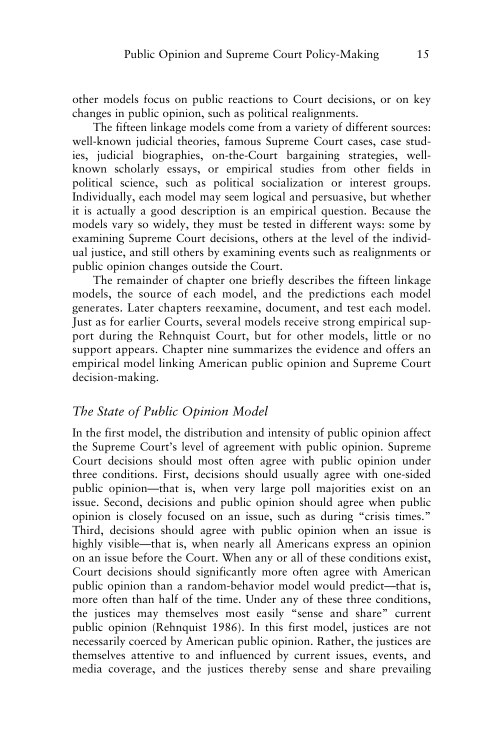other models focus on public reactions to Court decisions, or on key changes in public opinion, such as political realignments.

The fifteen linkage models come from a variety of different sources: well-known judicial theories, famous Supreme Court cases, case studies, judicial biographies, on-the-Court bargaining strategies, wellknown scholarly essays, or empirical studies from other fields in political science, such as political socialization or interest groups. Individually, each model may seem logical and persuasive, but whether it is actually a good description is an empirical question. Because the models vary so widely, they must be tested in different ways: some by examining Supreme Court decisions, others at the level of the individual justice, and still others by examining events such as realignments or public opinion changes outside the Court.

The remainder of chapter one briefly describes the fifteen linkage models, the source of each model, and the predictions each model generates. Later chapters reexamine, document, and test each model. Just as for earlier Courts, several models receive strong empirical support during the Rehnquist Court, but for other models, little or no support appears. Chapter nine summarizes the evidence and offers an empirical model linking American public opinion and Supreme Court decision-making.

#### *The State of Public Opinion Model*

In the first model, the distribution and intensity of public opinion affect the Supreme Court's level of agreement with public opinion. Supreme Court decisions should most often agree with public opinion under three conditions. First, decisions should usually agree with one-sided public opinion—that is, when very large poll majorities exist on an issue. Second, decisions and public opinion should agree when public opinion is closely focused on an issue, such as during "crisis times." Third, decisions should agree with public opinion when an issue is highly visible—that is, when nearly all Americans express an opinion on an issue before the Court. When any or all of these conditions exist, Court decisions should significantly more often agree with American public opinion than a random-behavior model would predict—that is, more often than half of the time. Under any of these three conditions, the justices may themselves most easily "sense and share" current public opinion (Rehnquist 1986). In this first model, justices are not necessarily coerced by American public opinion. Rather, the justices are themselves attentive to and influenced by current issues, events, and media coverage, and the justices thereby sense and share prevailing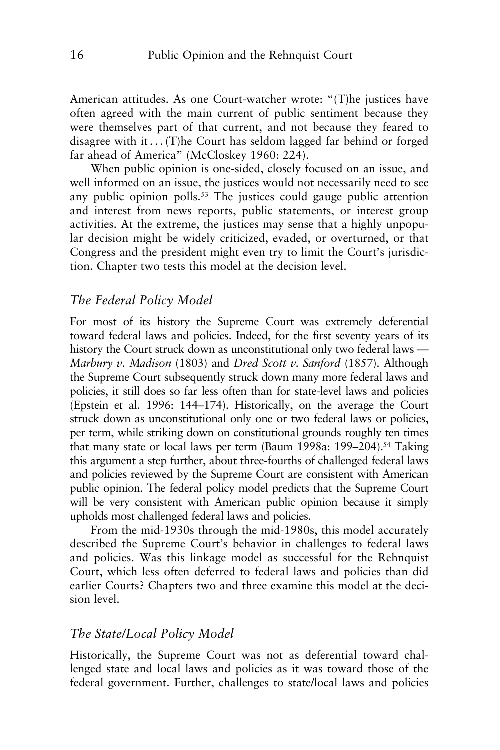American attitudes. As one Court-watcher wrote: "(T)he justices have often agreed with the main current of public sentiment because they were themselves part of that current, and not because they feared to disagree with it  $\dots$  (T)he Court has seldom lagged far behind or forged far ahead of America" (McCloskey 1960: 224).

When public opinion is one-sided, closely focused on an issue, and well informed on an issue, the justices would not necessarily need to see any public opinion polls.<sup>53</sup> The justices could gauge public attention and interest from news reports, public statements, or interest group activities. At the extreme, the justices may sense that a highly unpopular decision might be widely criticized, evaded, or overturned, or that Congress and the president might even try to limit the Court's jurisdiction. Chapter two tests this model at the decision level.

#### *The Federal Policy Model*

For most of its history the Supreme Court was extremely deferential toward federal laws and policies. Indeed, for the first seventy years of its history the Court struck down as unconstitutional only two federal laws — *Marbury v. Madison* (1803) and *Dred Scott v. Sanford* (1857). Although the Supreme Court subsequently struck down many more federal laws and policies, it still does so far less often than for state-level laws and policies (Epstein et al. 1996: 144–174). Historically, on the average the Court struck down as unconstitutional only one or two federal laws or policies, per term, while striking down on constitutional grounds roughly ten times that many state or local laws per term (Baum 1998a: 199–204).54 Taking this argument a step further, about three-fourths of challenged federal laws and policies reviewed by the Supreme Court are consistent with American public opinion. The federal policy model predicts that the Supreme Court will be very consistent with American public opinion because it simply upholds most challenged federal laws and policies.

From the mid-1930s through the mid-1980s, this model accurately described the Supreme Court's behavior in challenges to federal laws and policies. Was this linkage model as successful for the Rehnquist Court, which less often deferred to federal laws and policies than did earlier Courts? Chapters two and three examine this model at the decision level.

#### *The State/Local Policy Model*

Historically, the Supreme Court was not as deferential toward challenged state and local laws and policies as it was toward those of the federal government. Further, challenges to state/local laws and policies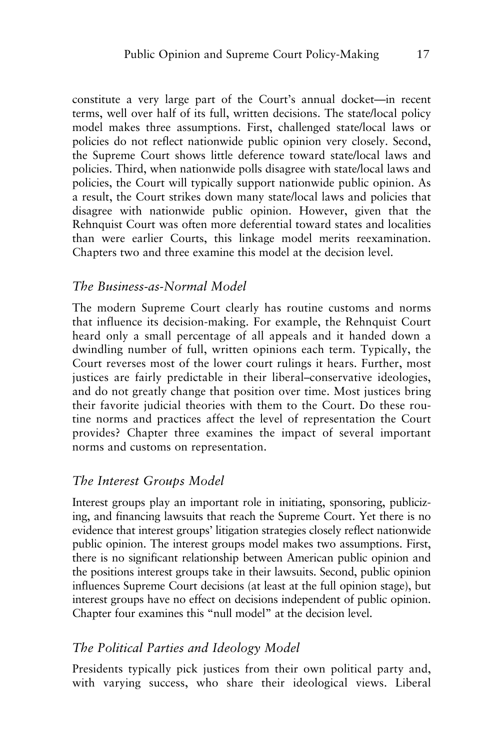constitute a very large part of the Court's annual docket—in recent terms, well over half of its full, written decisions. The state/local policy model makes three assumptions. First, challenged state/local laws or policies do not reflect nationwide public opinion very closely. Second, the Supreme Court shows little deference toward state/local laws and policies. Third, when nationwide polls disagree with state/local laws and policies, the Court will typically support nationwide public opinion. As a result, the Court strikes down many state/local laws and policies that disagree with nationwide public opinion. However, given that the Rehnquist Court was often more deferential toward states and localities than were earlier Courts, this linkage model merits reexamination. Chapters two and three examine this model at the decision level.

#### *The Business-as-Normal Model*

The modern Supreme Court clearly has routine customs and norms that influence its decision-making. For example, the Rehnquist Court heard only a small percentage of all appeals and it handed down a dwindling number of full, written opinions each term. Typically, the Court reverses most of the lower court rulings it hears. Further, most justices are fairly predictable in their liberal–conservative ideologies, and do not greatly change that position over time. Most justices bring their favorite judicial theories with them to the Court. Do these routine norms and practices affect the level of representation the Court provides? Chapter three examines the impact of several important norms and customs on representation.

# *The Interest Groups Model*

Interest groups play an important role in initiating, sponsoring, publicizing, and financing lawsuits that reach the Supreme Court. Yet there is no evidence that interest groups' litigation strategies closely reflect nationwide public opinion. The interest groups model makes two assumptions. First, there is no significant relationship between American public opinion and the positions interest groups take in their lawsuits. Second, public opinion influences Supreme Court decisions (at least at the full opinion stage), but interest groups have no effect on decisions independent of public opinion. Chapter four examines this "null model" at the decision level.

# *The Political Parties and Ideology Model*

Presidents typically pick justices from their own political party and, with varying success, who share their ideological views. Liberal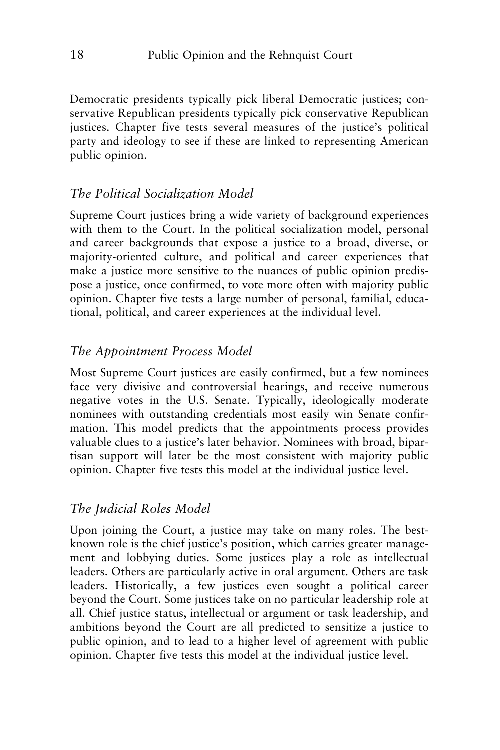Democratic presidents typically pick liberal Democratic justices; conservative Republican presidents typically pick conservative Republican justices. Chapter five tests several measures of the justice's political party and ideology to see if these are linked to representing American public opinion.

# *The Political Socialization Model*

Supreme Court justices bring a wide variety of background experiences with them to the Court. In the political socialization model, personal and career backgrounds that expose a justice to a broad, diverse, or majority-oriented culture, and political and career experiences that make a justice more sensitive to the nuances of public opinion predispose a justice, once confirmed, to vote more often with majority public opinion. Chapter five tests a large number of personal, familial, educational, political, and career experiences at the individual level.

# *The Appointment Process Model*

Most Supreme Court justices are easily confirmed, but a few nominees face very divisive and controversial hearings, and receive numerous negative votes in the U.S. Senate. Typically, ideologically moderate nominees with outstanding credentials most easily win Senate confirmation. This model predicts that the appointments process provides valuable clues to a justice's later behavior. Nominees with broad, bipartisan support will later be the most consistent with majority public opinion. Chapter five tests this model at the individual justice level.

# *The Judicial Roles Model*

Upon joining the Court, a justice may take on many roles. The bestknown role is the chief justice's position, which carries greater management and lobbying duties. Some justices play a role as intellectual leaders. Others are particularly active in oral argument. Others are task leaders. Historically, a few justices even sought a political career beyond the Court. Some justices take on no particular leadership role at all. Chief justice status, intellectual or argument or task leadership, and ambitions beyond the Court are all predicted to sensitize a justice to public opinion, and to lead to a higher level of agreement with public opinion. Chapter five tests this model at the individual justice level.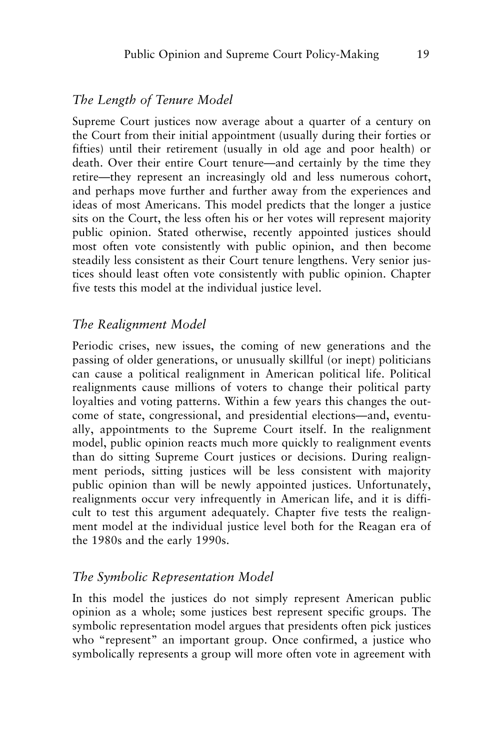# *The Length of Tenure Model*

Supreme Court justices now average about a quarter of a century on the Court from their initial appointment (usually during their forties or fifties) until their retirement (usually in old age and poor health) or death. Over their entire Court tenure—and certainly by the time they retire—they represent an increasingly old and less numerous cohort, and perhaps move further and further away from the experiences and ideas of most Americans. This model predicts that the longer a justice sits on the Court, the less often his or her votes will represent majority public opinion. Stated otherwise, recently appointed justices should most often vote consistently with public opinion, and then become steadily less consistent as their Court tenure lengthens. Very senior justices should least often vote consistently with public opinion. Chapter five tests this model at the individual justice level.

# *The Realignment Model*

Periodic crises, new issues, the coming of new generations and the passing of older generations, or unusually skillful (or inept) politicians can cause a political realignment in American political life. Political realignments cause millions of voters to change their political party loyalties and voting patterns. Within a few years this changes the outcome of state, congressional, and presidential elections—and, eventually, appointments to the Supreme Court itself. In the realignment model, public opinion reacts much more quickly to realignment events than do sitting Supreme Court justices or decisions. During realignment periods, sitting justices will be less consistent with majority public opinion than will be newly appointed justices. Unfortunately, realignments occur very infrequently in American life, and it is difficult to test this argument adequately. Chapter five tests the realignment model at the individual justice level both for the Reagan era of the 1980s and the early 1990s.

# *The Symbolic Representation Model*

In this model the justices do not simply represent American public opinion as a whole; some justices best represent specific groups. The symbolic representation model argues that presidents often pick justices who "represent" an important group. Once confirmed, a justice who symbolically represents a group will more often vote in agreement with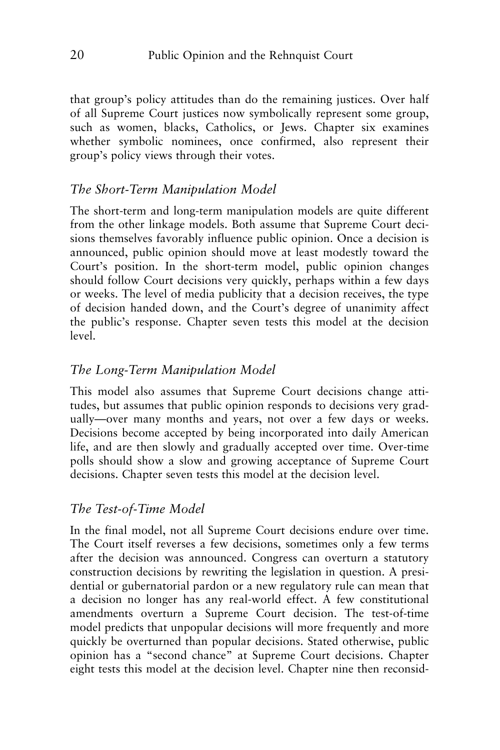that group's policy attitudes than do the remaining justices. Over half of all Supreme Court justices now symbolically represent some group, such as women, blacks, Catholics, or Jews. Chapter six examines whether symbolic nominees, once confirmed, also represent their group's policy views through their votes.

# *The Short-Term Manipulation Model*

The short-term and long-term manipulation models are quite different from the other linkage models. Both assume that Supreme Court decisions themselves favorably influence public opinion. Once a decision is announced, public opinion should move at least modestly toward the Court's position. In the short-term model, public opinion changes should follow Court decisions very quickly, perhaps within a few days or weeks. The level of media publicity that a decision receives, the type of decision handed down, and the Court's degree of unanimity affect the public's response. Chapter seven tests this model at the decision level.

# *The Long-Term Manipulation Model*

This model also assumes that Supreme Court decisions change attitudes, but assumes that public opinion responds to decisions very gradually—over many months and years, not over a few days or weeks. Decisions become accepted by being incorporated into daily American life, and are then slowly and gradually accepted over time. Over-time polls should show a slow and growing acceptance of Supreme Court decisions. Chapter seven tests this model at the decision level.

# *The Test-of-Time Model*

In the final model, not all Supreme Court decisions endure over time. The Court itself reverses a few decisions, sometimes only a few terms after the decision was announced. Congress can overturn a statutory construction decisions by rewriting the legislation in question. A presidential or gubernatorial pardon or a new regulatory rule can mean that a decision no longer has any real-world effect. A few constitutional amendments overturn a Supreme Court decision. The test-of-time model predicts that unpopular decisions will more frequently and more quickly be overturned than popular decisions. Stated otherwise, public opinion has a "second chance" at Supreme Court decisions. Chapter eight tests this model at the decision level. Chapter nine then reconsid